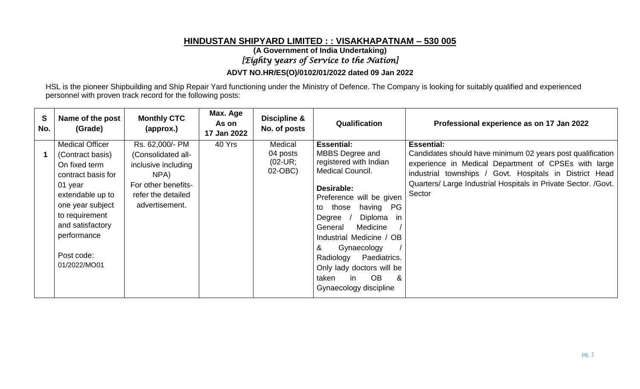# **HINDUSTAN SHIPYARD LIMITED : : VISAKHAPATNAM – 530 005**

**(A Government of India Undertaking)**

*[Eighty years of Service to the Nation]* 

#### **ADVT NO.HR/ES(O)/0102/01/2022 dated 09 Jan 2022**

HSL is the pioneer Shipbuilding and Ship Repair Yard functioning under the Ministry of Defence. The Company is looking for suitably qualified and experienced personnel with proven track record for the following posts:

| S<br>No. | Name of the post<br>(Grade)                                                                                                                                                                                             | <b>Monthly CTC</b><br>(approx.)                                                                                                     | Max. Age<br>As on<br>17 Jan 2022 | <b>Discipline &amp;</b><br>No. of posts      | Qualification                                                                                                                                                                                                                                                                                                                                                                        | Professional experience as on 17 Jan 2022                                                                                                                                                                                                                                      |
|----------|-------------------------------------------------------------------------------------------------------------------------------------------------------------------------------------------------------------------------|-------------------------------------------------------------------------------------------------------------------------------------|----------------------------------|----------------------------------------------|--------------------------------------------------------------------------------------------------------------------------------------------------------------------------------------------------------------------------------------------------------------------------------------------------------------------------------------------------------------------------------------|--------------------------------------------------------------------------------------------------------------------------------------------------------------------------------------------------------------------------------------------------------------------------------|
|          | <b>Medical Officer</b><br>(Contract basis)<br>On fixed term<br>contract basis for<br>01 year<br>extendable up to<br>one year subject<br>to requirement<br>and satisfactory<br>performance<br>Post code:<br>01/2022/MO01 | Rs. 62,000/- PM<br>(Consolidated all-<br>inclusive including<br>NPA)<br>For other benefits-<br>refer the detailed<br>advertisement. | 40 Yrs                           | Medical<br>04 posts<br>$(02$ -UR;<br>02-OBC) | <b>Essential:</b><br>MBBS Degree and<br>registered with Indian<br><b>Medical Council.</b><br>Desirable:<br>Preference will be given<br>having PG<br>those<br>to<br>Diploma in<br>Degree<br>Medicine<br>General<br>Industrial Medicine / OB<br>&<br>Gynaecology<br>Paediatrics.<br>Radiology<br>Only lady doctors will be<br><b>OB</b><br>&<br>taken<br>in.<br>Gynaecology discipline | <b>Essential:</b><br>Candidates should have minimum 02 years post qualification<br>experience in Medical Department of CPSEs with large<br>industrial townships / Govt. Hospitals in District Head<br>Quarters/ Large Industrial Hospitals in Private Sector. /Govt.<br>Sector |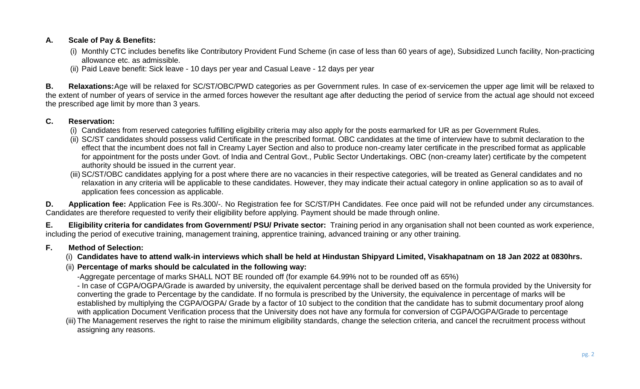## **A. Scale of Pay & Benefits:**

- (i) Monthly CTC includes benefits like Contributory Provident Fund Scheme (in case of less than 60 years of age), Subsidized Lunch facility, Non-practicing allowance etc. as admissible.
- (ii) Paid Leave benefit: Sick leave 10 days per year and Casual Leave 12 days per year

**B. Relaxations:**Age will be relaxed for SC/ST/OBC/PWD categories as per Government rules. In case of ex-servicemen the upper age limit will be relaxed to the extent of number of years of service in the armed forces however the resultant age after deducting the period of service from the actual age should not exceed the prescribed age limit by more than 3 years.

## **C. Reservation:**

- (i) Candidates from reserved categories fulfilling eligibility criteria may also apply for the posts earmarked for UR as per Government Rules.
- (ii) SC/ST candidates should possess valid Certificate in the prescribed format. OBC candidates at the time of interview have to submit declaration to the effect that the incumbent does not fall in Creamy Layer Section and also to produce non-creamy later certificate in the prescribed format as applicable for appointment for the posts under Govt. of India and Central Govt., Public Sector Undertakings. OBC (non-creamy later) certificate by the competent authority should be issued in the current year.
- (iii) SC/ST/OBC candidates applying for a post where there are no vacancies in their respective categories, will be treated as General candidates and no relaxation in any criteria will be applicable to these candidates. However, they may indicate their actual category in online application so as to avail of application fees concession as applicable.

**D. Application fee:** Application Fee is Rs.300/-. No Registration fee for SC/ST/PH Candidates. Fee once paid will not be refunded under any circumstances. Candidates are therefore requested to verify their eligibility before applying. Payment should be made through online.

**E. Eligibility criteria for candidates from Government/ PSU/ Private sector:** Training period in any organisation shall not been counted as work experience, including the period of executive training, management training, apprentice training, advanced training or any other training.

## **F. Method of Selection:**

(i) **Candidates have to attend walk-in interviews which shall be held at Hindustan Shipyard Limited, Visakhapatnam on 18 Jan 2022 at 0830hrs.** 

## (ii) **Percentage of marks should be calculated in the following way:**

- -Aggregate percentage of marks SHALL NOT BE rounded off (for example 64.99% not to be rounded off as 65%)
- In case of CGPA/OGPA/Grade is awarded by university, the equivalent percentage shall be derived based on the formula provided by the University for converting the grade to Percentage by the candidate. If no formula is prescribed by the University, the equivalence in percentage of marks will be established by multiplying the CGPA/OGPA/ Grade by a factor of 10 subject to the condition that the candidate has to submit documentary proof along with application Document Verification process that the University does not have any formula for conversion of CGPA/OGPA/Grade to percentage
- (iii) The Management reserves the right to raise the minimum eligibility standards, change the selection criteria, and cancel the recruitment process without assigning any reasons.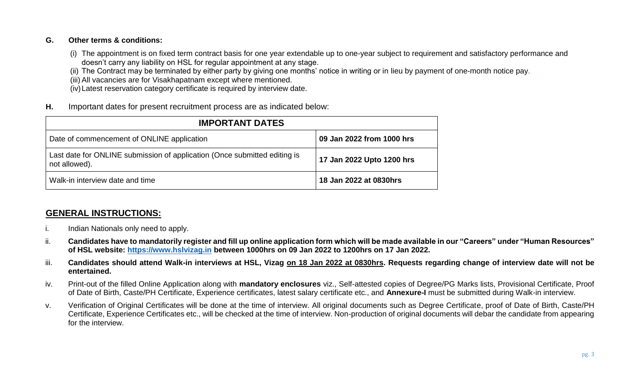#### **G. Other terms & conditions:**

(i) The appointment is on fixed term contract basis for one year extendable up to one-year subject to requirement and satisfactory performance and doesn't carry any liability on HSL for regular appointment at any stage.

(ii) The Contract may be terminated by either party by giving one months' notice in writing or in lieu by payment of one-month notice pay.

(iii) All vacancies are for Visakhapatnam except where mentioned.

(iv)Latest reservation category certificate is required by interview date.

**H.** Important dates for present recruitment process are as indicated below:

| <b>IMPORTANT DATES</b>                                                                     |                           |  |  |  |  |  |
|--------------------------------------------------------------------------------------------|---------------------------|--|--|--|--|--|
| Date of commencement of ONLINE application                                                 | 09 Jan 2022 from 1000 hrs |  |  |  |  |  |
| Last date for ONLINE submission of application (Once submitted editing is<br>not allowed). | 17 Jan 2022 Upto 1200 hrs |  |  |  |  |  |
| Walk-in interview date and time                                                            | 18 Jan 2022 at 0830hrs    |  |  |  |  |  |

# **GENERAL INSTRUCTIONS:**

- i. Indian Nationals only need to apply.
- ii. **Candidates have to mandatorily register and fill up online application form which will be made available in our "Careers" under "Human Resources" of HSL website: [https://www.hslvizag.in](https://www.hslvizag.in/) between 1000hrs on 09 Jan 2022 to 1200hrs on 17 Jan 2022.**
- iii. **Candidates should attend Walk-in interviews at HSL, Vizag on 18 Jan 2022 at 0830hrs. Requests regarding change of interview date will not be entertained.**
- iv. Print-out of the filled Online Application along with **mandatory enclosures** viz., Self-attested copies of Degree/PG Marks lists, Provisional Certificate, Proof of Date of Birth, Caste/PH Certificate, Experience certificates, latest salary certificate etc., and **Annexure-I** must be submitted during Walk-in interview.
- v. Verification of Original Certificates will be done at the time of interview. All original documents such as Degree Certificate, proof of Date of Birth, Caste/PH Certificate, Experience Certificates etc., will be checked at the time of interview. Non-production of original documents will debar the candidate from appearing for the interview.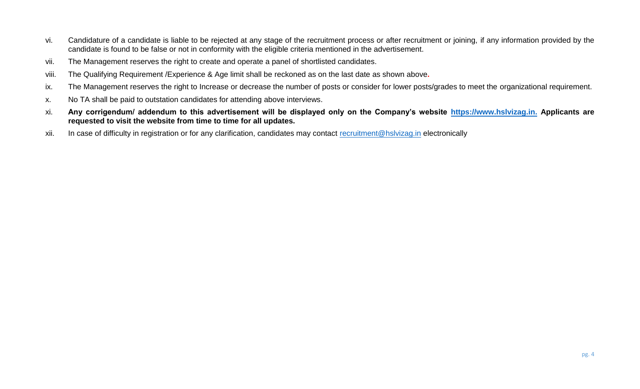- vi. Candidature of a candidate is liable to be rejected at any stage of the recruitment process or after recruitment or joining, if any information provided by the candidate is found to be false or not in conformity with the eligible criteria mentioned in the advertisement.
- vii. The Management reserves the right to create and operate a panel of shortlisted candidates.
- viii. The Qualifying Requirement /Experience & Age limit shall be reckoned as on the last date as shown above**.**
- ix. The Management reserves the right to Increase or decrease the number of posts or consider for lower posts/grades to meet the organizational requirement.
- x. No TA shall be paid to outstation candidates for attending above interviews.
- xi. **Any corrigendum/ addendum to this advertisement will be displayed only on the Company's website [https://www.hslvizag.in.](https://www.hslvizag.in/) Applicants are requested to visit the website from time to time for all updates.**
- xii. In case of difficulty in registration or for any clarification, candidates may contact [recruitment@hslvizag.in](mailto:recruitment@hslvizag.in) electronically